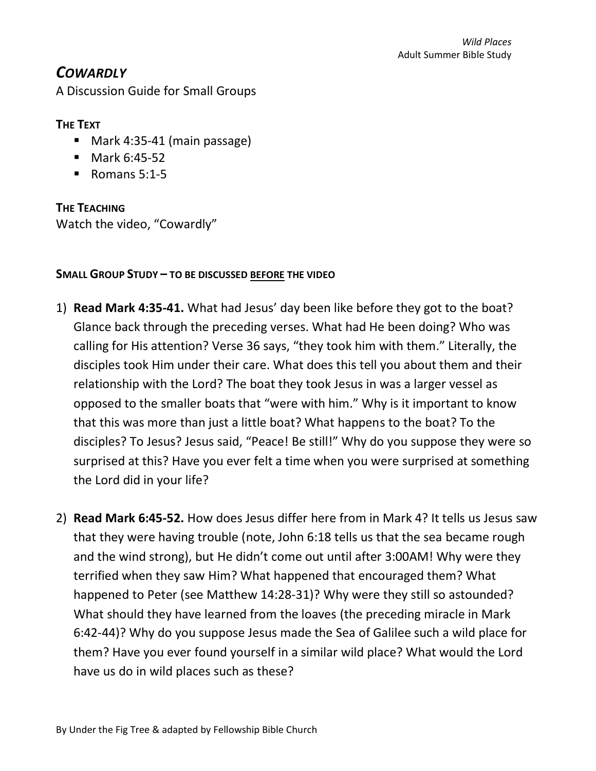## *COWARDLY*

A Discussion Guide for Small Groups

## **THE TEXT**

- Mark 4:35-41 (main passage)
- Mark 6:45-52
- Romans 5:1-5

**THE TEACHING** Watch the video, "Cowardly"

## **SMALL GROUP STUDY – TO BE DISCUSSED BEFORE THE VIDEO**

- 1) **Read Mark 4:35-41.** What had Jesus' day been like before they got to the boat? Glance back through the preceding verses. What had He been doing? Who was calling for His attention? Verse 36 says, "they took him with them." Literally, the disciples took Him under their care. What does this tell you about them and their relationship with the Lord? The boat they took Jesus in was a larger vessel as opposed to the smaller boats that "were with him." Why is it important to know that this was more than just a little boat? What happens to the boat? To the disciples? To Jesus? Jesus said, "Peace! Be still!" Why do you suppose they were so surprised at this? Have you ever felt a time when you were surprised at something the Lord did in your life?
- 2) **Read Mark 6:45-52.** How does Jesus differ here from in Mark 4? It tells us Jesus saw that they were having trouble (note, John 6:18 tells us that the sea became rough and the wind strong), but He didn't come out until after 3:00AM! Why were they terrified when they saw Him? What happened that encouraged them? What happened to Peter (see Matthew 14:28-31)? Why were they still so astounded? What should they have learned from the loaves (the preceding miracle in Mark 6:42-44)? Why do you suppose Jesus made the Sea of Galilee such a wild place for them? Have you ever found yourself in a similar wild place? What would the Lord have us do in wild places such as these?